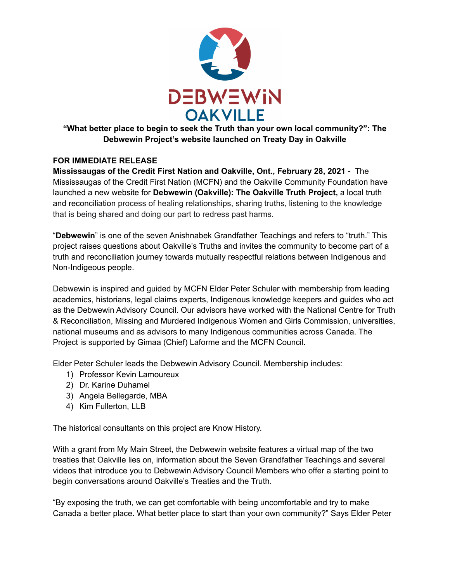

# **"What better place to begin to seek the Truth than your own local community?": The Debwewin Project's website launched on Treaty Day in Oakville**

## **FOR IMMEDIATE RELEASE**

**Mississaugas of the Credit First Nation and Oakville, Ont., February 28, 2021 -** The Mississaugas of the Credit First Nation (MCFN) and the Oakville Community Foundation have launched a new website for **Debwewin (Oakville): The Oakville Truth Project,** a local truth and reconciliation process of healing relationships, sharing truths, listening to the knowledge that is being shared and doing our part to redress past harms.

"**Debwewin**" is one of the seven Anishnabek Grandfather Teachings and refers to "truth." This project raises questions about Oakville's Truths and invites the community to become part of a truth and reconciliation journey towards mutually respectful relations between Indigenous and Non-Indigeous people.

Debwewin is inspired and guided by MCFN Elder Peter Schuler with membership from leading academics, historians, legal claims experts, Indigenous knowledge keepers and guides who act as the Debwewin Advisory Council. Our advisors have worked with the National Centre for Truth & Reconciliation, Missing and Murdered Indigenous Women and Girls Commission, universities, national museums and as advisors to many Indigenous communities across Canada. The Project is supported by Gimaa (Chief) Laforme and the MCFN Council.

Elder Peter Schuler leads the Debwewin Advisory Council. Membership includes:

- 1) Professor Kevin Lamoureux
- 2) Dr. Karine Duhamel
- 3) Angela Bellegarde, MBA
- 4) Kim Fullerton, LLB

The historical consultants on this project are Know History.

With a grant from My Main Street, the Debwewin website features a virtual map of the two treaties that Oakville lies on, information about the Seven Grandfather Teachings and several videos that introduce you to Debwewin Advisory Council Members who offer a starting point to begin conversations around Oakville's Treaties and the Truth.

"By exposing the truth, we can get comfortable with being uncomfortable and try to make Canada a better place. What better place to start than your own community?" Says Elder Peter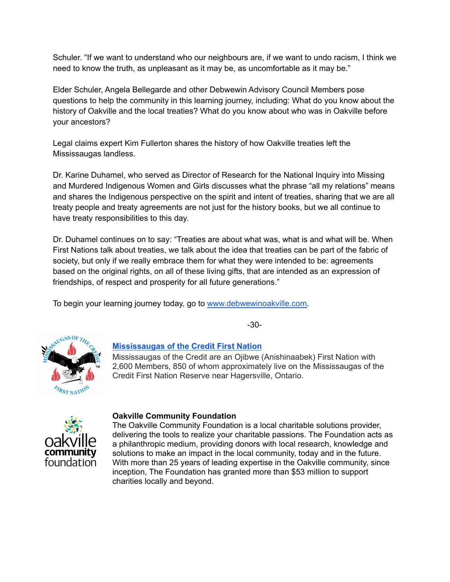Schuler. "If we want to understand who our neighbours are, if we want to undo racism, I think we need to know the truth, as unpleasant as it may be, as uncomfortable as it may be."

Elder Schuler, Angela Bellegarde and other Debwewin Advisory Council Members pose questions to help the community in this learning journey, including: What do you know about the history of Oakville and the local treaties? What do you know about who was in Oakville before your ancestors?

Legal claims expert Kim Fullerton shares the history of how Oakville treaties left the Mississaugas landless.

Dr. Karine Duhamel, who served as Director of Research for the National Inquiry into Missing and Murdered Indigenous Women and Girls discusses what the phrase "all my relations" means and shares the Indigenous perspective on the spirit and intent of treaties, sharing that we are all treaty people and treaty agreements are not just for the history books, but we all continue to have treaty responsibilities to this day.

Dr. Duhamel continues on to say: "Treaties are about what was, what is and what will be. When First Nations talk about treaties, we talk about the idea that treaties can be part of the fabric of society, but only if we really embrace them for what they were intended to be: agreements based on the original rights, on all of these living gifts, that are intended as an expression of friendships, of respect and prosperity for all future generations."

To begin your learning journey today, go to [www.debwewinoakville.com.](http://www.debwewinoakville.com)





## **[Mississaugas](http://mncfn.ca/) of the Credit First Nation**

Mississaugas of the Credit are an Ojibwe (Anishinaabek) First Nation with 2,600 Members, 850 of whom approximately live on the Mississaugas of the Credit First Nation Reserve near Hagersville, Ontario.



#### **Oakville Community Foundation**

The Oakville Community Foundation is a local charitable solutions provider, delivering the tools to realize your charitable passions. The Foundation acts as a philanthropic medium, providing donors with local research, knowledge and solutions to make an impact in the local community, today and in the future. With more than 25 years of leading expertise in the Oakville community, since inception, The Foundation has granted more than \$53 million to support charities locally and beyond.